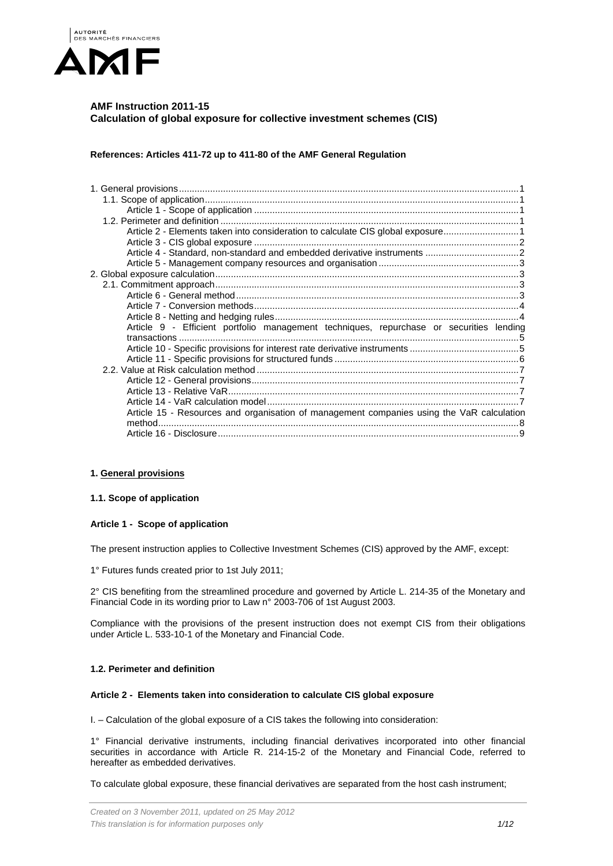

# **AMF Instruction 2011-15 Calculation of global exposure for collective investment schemes (CIS)**

**References: Articles 411-72 up to 411-80 of the AMF General Regulation**

| Article 2 - Elements taken into consideration to calculate CIS global exposure1 |                                                                                                                                                                                      |
|---------------------------------------------------------------------------------|--------------------------------------------------------------------------------------------------------------------------------------------------------------------------------------|
|                                                                                 |                                                                                                                                                                                      |
|                                                                                 |                                                                                                                                                                                      |
|                                                                                 |                                                                                                                                                                                      |
|                                                                                 |                                                                                                                                                                                      |
|                                                                                 |                                                                                                                                                                                      |
|                                                                                 |                                                                                                                                                                                      |
|                                                                                 |                                                                                                                                                                                      |
|                                                                                 |                                                                                                                                                                                      |
|                                                                                 |                                                                                                                                                                                      |
|                                                                                 |                                                                                                                                                                                      |
|                                                                                 |                                                                                                                                                                                      |
|                                                                                 |                                                                                                                                                                                      |
|                                                                                 |                                                                                                                                                                                      |
|                                                                                 |                                                                                                                                                                                      |
|                                                                                 |                                                                                                                                                                                      |
|                                                                                 |                                                                                                                                                                                      |
|                                                                                 |                                                                                                                                                                                      |
|                                                                                 |                                                                                                                                                                                      |
|                                                                                 |                                                                                                                                                                                      |
|                                                                                 | Article 9 - Efficient portfolio management techniques, repurchase or securities lending<br>Article 15 - Resources and organisation of management companies using the VaR calculation |

## <span id="page-0-1"></span><span id="page-0-0"></span>**1. General provisions**

### **1.1. Scope of application**

## <span id="page-0-2"></span>**Article 1 - Scope of application**

The present instruction applies to Collective Investment Schemes (CIS) approved by the AMF, except:

1° Futures funds created prior to 1st July 2011;

2° CIS benefiting from the streamlined procedure and governed by Article L. 214-35 of the Monetary and Financial Code in its wording prior to Law n° 2003-706 of 1st August 2003.

Compliance with the provisions of the present instruction does not exempt CIS from their obligations under Article L. 533-10-1 of the Monetary and Financial Code.

## <span id="page-0-3"></span>**1.2. Perimeter and definition**

### <span id="page-0-4"></span>**Article 2 - Elements taken into consideration to calculate CIS global exposure**

I. – Calculation of the global exposure of a CIS takes the following into consideration:

1° Financial derivative instruments, including financial derivatives incorporated into other financial securities in accordance with Article R. 214-15-2 of the Monetary and Financial Code, referred to hereafter as embedded derivatives.

To calculate global exposure, these financial derivatives are separated from the host cash instrument;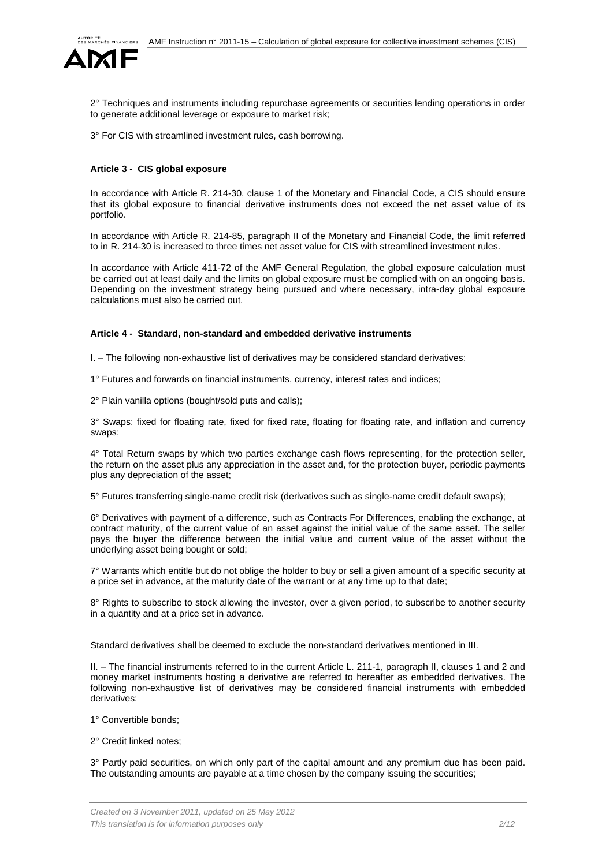

2° Techniques and instruments including repurchase agreements or securities lending operations in order to generate additional leverage or exposure to market risk;

3° For CIS with streamlined investment rules, cash borrowing.

## <span id="page-1-0"></span>**Article 3 - CIS global exposure**

In accordance with Article R. 214-30, clause 1 of the Monetary and Financial Code, a CIS should ensure that its global exposure to financial derivative instruments does not exceed the net asset value of its portfolio.

In accordance with Article R. 214-85, paragraph II of the Monetary and Financial Code, the limit referred to in R. 214-30 is increased to three times net asset value for CIS with streamlined investment rules.

In accordance with Article 411-72 of the AMF General Regulation, the global exposure calculation must be carried out at least daily and the limits on global exposure must be complied with on an ongoing basis. Depending on the investment strategy being pursued and where necessary, intra-day global exposure calculations must also be carried out.

#### <span id="page-1-1"></span>**Article 4 - Standard, non-standard and embedded derivative instruments**

I. – The following non-exhaustive list of derivatives may be considered standard derivatives:

1° Futures and forwards on financial instruments, currency, interest rates and indices;

2° Plain vanilla options (bought/sold puts and calls);

3° Swaps: fixed for floating rate, fixed for fixed rate, floating for floating rate, and inflation and currency swaps;

4° Total Return swaps by which two parties exchange cash flows representing, for the protection seller, the return on the asset plus any appreciation in the asset and, for the protection buyer, periodic payments plus any depreciation of the asset;

5° Futures transferring single-name credit risk (derivatives such as single-name credit default swaps);

6° Derivatives with payment of a difference, such as Contracts For Differences, enabling the exchange, at contract maturity, of the current value of an asset against the initial value of the same asset. The seller pays the buyer the difference between the initial value and current value of the asset without the underlying asset being bought or sold;

7° Warrants which entitle but do not oblige the holder to buy or sell a given amount of a specific security at a price set in advance, at the maturity date of the warrant or at any time up to that date;

8° Rights to subscribe to stock allowing the investor, over a given period, to subscribe to another security in a quantity and at a price set in advance.

Standard derivatives shall be deemed to exclude the non-standard derivatives mentioned in III.

II. – The financial instruments referred to in the current Article L. 211-1, paragraph II, clauses 1 and 2 and money market instruments hosting a derivative are referred to hereafter as embedded derivatives. The following non-exhaustive list of derivatives may be considered financial instruments with embedded derivatives:

1° Convertible bonds;

2° Credit linked notes;

3° Partly paid securities, on which only part of the capital amount and any premium due has been paid. The outstanding amounts are payable at a time chosen by the company issuing the securities;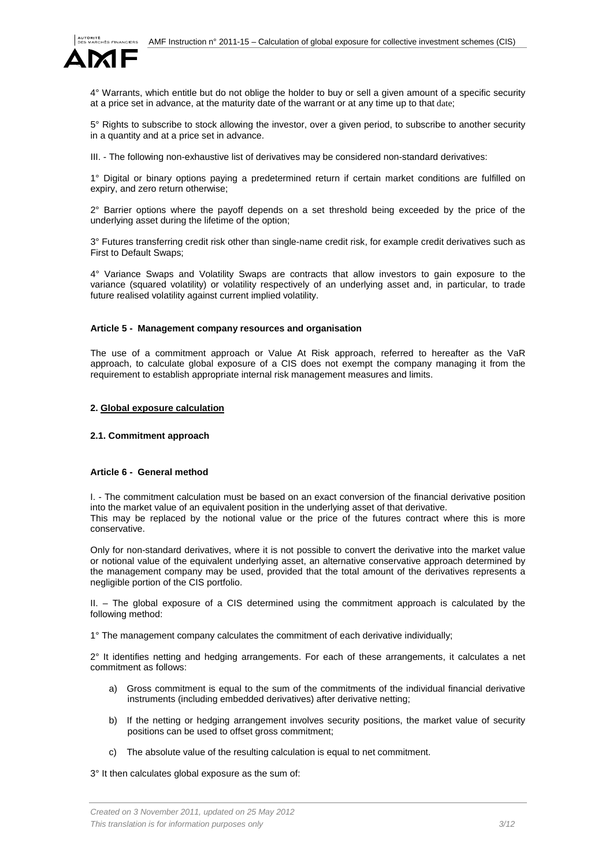

4° Warrants, which entitle but do not oblige the holder to buy or sell a given amount of a specific security at a price set in advance, at the maturity date of the warrant or at any time up to that date;

5° Rights to subscribe to stock allowing the investor, over a given period, to subscribe to another security in a quantity and at a price set in advance.

III. - The following non-exhaustive list of derivatives may be considered non-standard derivatives:

1° Digital or binary options paying a predetermined return if certain market conditions are fulfilled on expiry, and zero return otherwise;

2° Barrier options where the payoff depends on a set threshold being exceeded by the price of the underlying asset during the lifetime of the option;

3° Futures transferring credit risk other than single-name credit risk, for example credit derivatives such as First to Default Swaps;

4° Variance Swaps and Volatility Swaps are contracts that allow investors to gain exposure to the variance (squared volatility) or volatility respectively of an underlying asset and, in particular, to trade future realised volatility against current implied volatility.

#### <span id="page-2-0"></span>**Article 5 - Management company resources and organisation**

The use of a commitment approach or Value At Risk approach, referred to hereafter as the VaR approach, to calculate global exposure of a CIS does not exempt the company managing it from the requirement to establish appropriate internal risk management measures and limits.

### <span id="page-2-2"></span><span id="page-2-1"></span>**2. Global exposure calculation**

### **2.1. Commitment approach**

### <span id="page-2-3"></span>**Article 6 - General method**

I. - The commitment calculation must be based on an exact conversion of the financial derivative position into the market value of an equivalent position in the underlying asset of that derivative. This may be replaced by the notional value or the price of the futures contract where this is more conservative.

Only for non-standard derivatives, where it is not possible to convert the derivative into the market value or notional value of the equivalent underlying asset, an alternative conservative approach determined by the management company may be used, provided that the total amount of the derivatives represents a negligible portion of the CIS portfolio.

II. – The global exposure of a CIS determined using the commitment approach is calculated by the following method:

1° The management company calculates the commitment of each derivative individually;

2° It identifies netting and hedging arrangements. For each of these arrangements, it calculates a net commitment as follows:

- a) Gross commitment is equal to the sum of the commitments of the individual financial derivative instruments (including embedded derivatives) after derivative netting;
- b) If the netting or hedging arrangement involves security positions, the market value of security positions can be used to offset gross commitment;
- c) The absolute value of the resulting calculation is equal to net commitment.

3° It then calculates global exposure as the sum of: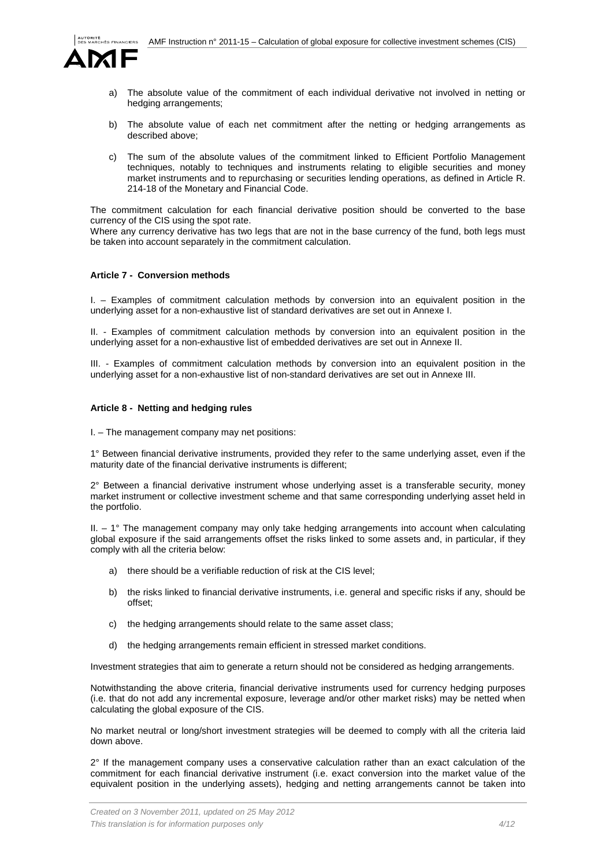

- a) The absolute value of the commitment of each individual derivative not involved in netting or hedging arrangements;
- b) The absolute value of each net commitment after the netting or hedging arrangements as described above;
- c) The sum of the absolute values of the commitment linked to Efficient Portfolio Management techniques, notably to techniques and instruments relating to eligible securities and money market instruments and to repurchasing or securities lending operations, as defined in Article R. 214-18 of the Monetary and Financial Code.

The commitment calculation for each financial derivative position should be converted to the base currency of the CIS using the spot rate.

Where any currency derivative has two legs that are not in the base currency of the fund, both legs must be taken into account separately in the commitment calculation.

## <span id="page-3-0"></span>**Article 7 - Conversion methods**

I. – Examples of commitment calculation methods by conversion into an equivalent position in the underlying asset for a non-exhaustive list of standard derivatives are set out in Annexe I.

II. - Examples of commitment calculation methods by conversion into an equivalent position in the underlying asset for a non-exhaustive list of embedded derivatives are set out in Annexe II.

III. - Examples of commitment calculation methods by conversion into an equivalent position in the underlying asset for a non-exhaustive list of non-standard derivatives are set out in Annexe III.

## <span id="page-3-1"></span>**Article 8 - Netting and hedging rules**

I. – The management company may net positions:

1° Between financial derivative instruments, provided they refer to the same underlying asset, even if the maturity date of the financial derivative instruments is different;

2° Between a financial derivative instrument whose underlying asset is a transferable security, money market instrument or collective investment scheme and that same corresponding underlying asset held in the portfolio.

 $II. - 1^\circ$  The management company may only take hedging arrangements into account when calculating global exposure if the said arrangements offset the risks linked to some assets and, in particular, if they comply with all the criteria below:

- a) there should be a verifiable reduction of risk at the CIS level;
- b) the risks linked to financial derivative instruments, i.e. general and specific risks if any, should be offset;
- c) the hedging arrangements should relate to the same asset class;
- d) the hedging arrangements remain efficient in stressed market conditions.

Investment strategies that aim to generate a return should not be considered as hedging arrangements.

Notwithstanding the above criteria, financial derivative instruments used for currency hedging purposes (i.e. that do not add any incremental exposure, leverage and/or other market risks) may be netted when calculating the global exposure of the CIS.

No market neutral or long/short investment strategies will be deemed to comply with all the criteria laid down above.

 $2^{\circ}$  If the management company uses a conservative calculation rather than an exact calculation of the commitment for each financial derivative instrument (i.e. exact conversion into the market value of the equivalent position in the underlying assets), hedging and netting arrangements cannot be taken into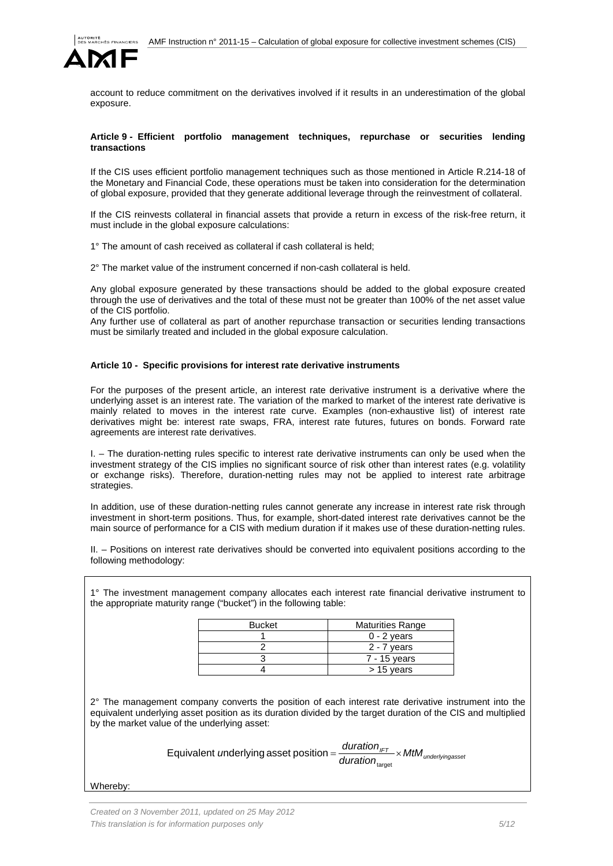

account to reduce commitment on the derivatives involved if it results in an underestimation of the global exposure.

#### <span id="page-4-0"></span>**Article 9 - Efficient portfolio management techniques, repurchase or securities lending transactions**

If the CIS uses efficient portfolio management techniques such as those mentioned in Article R.214-18 of the Monetary and Financial Code, these operations must be taken into consideration for the determination of global exposure, provided that they generate additional leverage through the reinvestment of collateral.

If the CIS reinvests collateral in financial assets that provide a return in excess of the risk-free return, it must include in the global exposure calculations:

1° The amount of cash received as collateral if cash collateral is held;

2° The market value of the instrument concerned if non-cash collateral is held.

Any global exposure generated by these transactions should be added to the global exposure created through the use of derivatives and the total of these must not be greater than 100% of the net asset value of the CIS portfolio.

Any further use of collateral as part of another repurchase transaction or securities lending transactions must be similarly treated and included in the global exposure calculation.

### <span id="page-4-1"></span>**Article 10 - Specific provisions for interest rate derivative instruments**

For the purposes of the present article, an interest rate derivative instrument is a derivative where the underlying asset is an interest rate. The variation of the marked to market of the interest rate derivative is mainly related to moves in the interest rate curve. Examples (non-exhaustive list) of interest rate derivatives might be: interest rate swaps, FRA, interest rate futures, futures on bonds. Forward rate agreements are interest rate derivatives.

I. – The duration-netting rules specific to interest rate derivative instruments can only be used when the investment strategy of the CIS implies no significant source of risk other than interest rates (e.g. volatility or exchange risks). Therefore, duration-netting rules may not be applied to interest rate arbitrage strategies.

In addition, use of these duration-netting rules cannot generate any increase in interest rate risk through investment in short-term positions. Thus, for example, short-dated interest rate derivatives cannot be the main source of performance for a CIS with medium duration if it makes use of these duration-netting rules.

II. – Positions on interest rate derivatives should be converted into equivalent positions according to the following methodology:

1° The investment management company allocates each interest rate financial derivative instrument to the appropriate maturity range ("bucket") in the following table:

| <b>Bucket</b> | <b>Maturities Range</b> |
|---------------|-------------------------|
|               | $0 - 2$ years           |
|               | 2 - 7 years             |
|               | 7 - 15 years            |
|               | $> 15$ years            |

2° The management company converts the position of each interest rate derivative instrument into the equivalent underlying asset position as its duration divided by the target duration of the CIS and multiplied by the market value of the underlying asset:

> *auration*<sub>IFT</sub><br>*Iuration* duration<sub>target</sub> Equivalent underlying asset position  $=\frac{u}{\sqrt{u}}\times$

Whereby: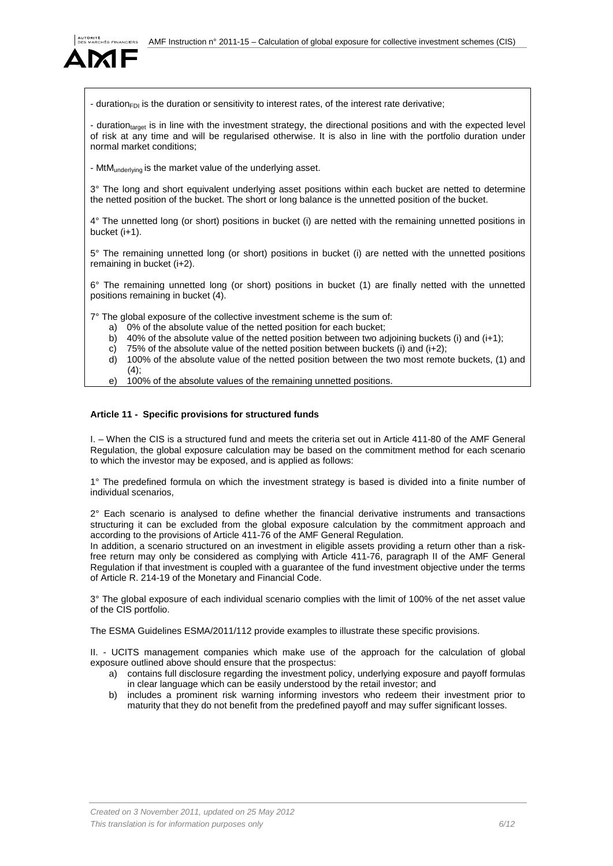

- duration<sub>FDI</sub> is the duration or sensitivity to interest rates, of the interest rate derivative;

- duration<sub>target</sub> is in line with the investment strategy, the directional positions and with the expected level of risk at any time and will be regularised otherwise. It is also in line with the portfolio duration under normal market conditions;

- MtMunderlying is the market value of the underlying asset.

3° The long and short equivalent underlying asset positions within each bucket are netted to determine the netted position of the bucket. The short or long balance is the unnetted position of the bucket.

4° The unnetted long (or short) positions in bucket (i) are netted with the remaining unnetted positions in bucket (i+1).

5° The remaining unnetted long (or short) positions in bucket (i) are netted with the unnetted positions remaining in bucket (i+2).

6° The remaining unnetted long (or short) positions in bucket (1) are finally netted with the unnetted positions remaining in bucket (4).

7° The global exposure of the collective investment scheme is the sum of:

- a) 0% of the absolute value of the netted position for each bucket;
- b) 40% of the absolute value of the netted position between two adjoining buckets (i) and (i+1);
- c) 75% of the absolute value of the netted position between buckets (i) and  $(i+2)$ ;
- d) 100% of the absolute value of the netted position between the two most remote buckets, (1) and  $(4)$ ;
- e) 100% of the absolute values of the remaining unnetted positions.

## <span id="page-5-0"></span>**Article 11 - Specific provisions for structured funds**

I. – When the CIS is a structured fund and meets the criteria set out in Article 411-80 of the AMF General Regulation, the global exposure calculation may be based on the commitment method for each scenario to which the investor may be exposed, and is applied as follows:

1° The predefined formula on which the investment strategy is based is divided into a finite number of individual scenarios,

 $2^{\circ}$  Each scenario is analysed to define whether the financial derivative instruments and transactions structuring it can be excluded from the global exposure calculation by the commitment approach and according to the provisions of Article 411-76 of the AMF General Regulation.

In addition, a scenario structured on an investment in eligible assets providing a return other than a riskfree return may only be considered as complying with Article 411-76, paragraph II of the AMF General Regulation if that investment is coupled with a guarantee of the fund investment objective under the terms of Article R. 214-19 of the Monetary and Financial Code.

3° The global exposure of each individual scenario complies with the limit of 100% of the net asset value of the CIS portfolio.

The ESMA Guidelines ESMA/2011/112 provide examples to illustrate these specific provisions.

II. - UCITS management companies which make use of the approach for the calculation of global exposure outlined above should ensure that the prospectus:

- a) contains full disclosure regarding the investment policy, underlying exposure and payoff formulas in clear language which can be easily understood by the retail investor; and
- b) includes a prominent risk warning informing investors who redeem their investment prior to maturity that they do not benefit from the predefined payoff and may suffer significant losses.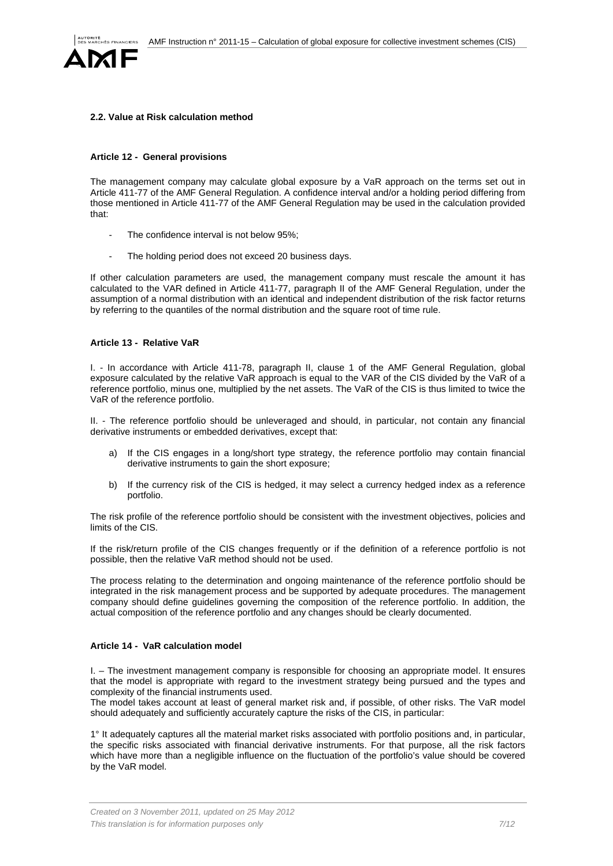

## <span id="page-6-0"></span>**2.2. Value at Risk calculation method**

#### <span id="page-6-1"></span>**Article 12 - General provisions**

The management company may calculate global exposure by a VaR approach on the terms set out in Article 411-77 of the AMF General Regulation. A confidence interval and/or a holding period differing from those mentioned in Article 411-77 of the AMF General Regulation may be used in the calculation provided that:

- The confidence interval is not below 95%:
- The holding period does not exceed 20 business days.

If other calculation parameters are used, the management company must rescale the amount it has calculated to the VAR defined in Article 411-77, paragraph II of the AMF General Regulation, under the assumption of a normal distribution with an identical and independent distribution of the risk factor returns by referring to the quantiles of the normal distribution and the square root of time rule.

## <span id="page-6-2"></span>**Article 13 - Relative VaR**

I. - In accordance with Article 411-78, paragraph II, clause 1 of the AMF General Regulation, global exposure calculated by the relative VaR approach is equal to the VAR of the CIS divided by the VaR of a reference portfolio, minus one, multiplied by the net assets. The VaR of the CIS is thus limited to twice the VaR of the reference portfolio.

II. - The reference portfolio should be unleveraged and should, in particular, not contain any financial derivative instruments or embedded derivatives, except that:

- a) If the CIS engages in a long/short type strategy, the reference portfolio may contain financial derivative instruments to gain the short exposure;
- b) If the currency risk of the CIS is hedged, it may select a currency hedged index as a reference portfolio.

The risk profile of the reference portfolio should be consistent with the investment objectives, policies and limits of the CIS.

If the risk/return profile of the CIS changes frequently or if the definition of a reference portfolio is not possible, then the relative VaR method should not be used.

The process relating to the determination and ongoing maintenance of the reference portfolio should be integrated in the risk management process and be supported by adequate procedures. The management company should define guidelines governing the composition of the reference portfolio. In addition, the actual composition of the reference portfolio and any changes should be clearly documented.

## <span id="page-6-3"></span>**Article 14 - VaR calculation model**

I. – The investment management company is responsible for choosing an appropriate model. It ensures that the model is appropriate with regard to the investment strategy being pursued and the types and complexity of the financial instruments used.

The model takes account at least of general market risk and, if possible, of other risks. The VaR model should adequately and sufficiently accurately capture the risks of the CIS, in particular:

1° It adequately captures all the material market risks associated with portfolio positions and, in particular, the specific risks associated with financial derivative instruments. For that purpose, all the risk factors which have more than a negligible influence on the fluctuation of the portfolio's value should be covered by the VaR model.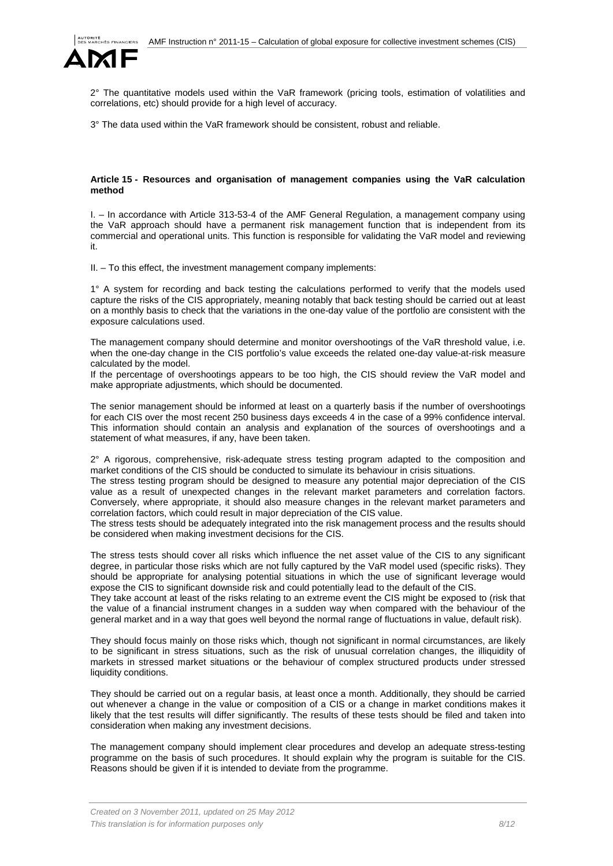

2° The quantitative models used within the VaR framework (pricing tools, estimation of volatilities and correlations, etc) should provide for a high level of accuracy.

3° The data used within the VaR framework should be consistent, robust and reliable.

### <span id="page-7-0"></span>**Article 15 - Resources and organisation of management companies using the VaR calculation method**

I. – In accordance with Article 313-53-4 of the AMF General Regulation, a management company using the VaR approach should have a permanent risk management function that is independent from its commercial and operational units. This function is responsible for validating the VaR model and reviewing it.

II. – To this effect, the investment management company implements:

1° A system for recording and back testing the calculations performed to verify that the models used capture the risks of the CIS appropriately, meaning notably that back testing should be carried out at least on a monthly basis to check that the variations in the one-day value of the portfolio are consistent with the exposure calculations used.

The management company should determine and monitor overshootings of the VaR threshold value, i.e. when the one-day change in the CIS portfolio's value exceeds the related one-day value-at-risk measure calculated by the model.

If the percentage of overshootings appears to be too high, the CIS should review the VaR model and make appropriate adjustments, which should be documented.

The senior management should be informed at least on a quarterly basis if the number of overshootings for each CIS over the most recent 250 business days exceeds 4 in the case of a 99% confidence interval. This information should contain an analysis and explanation of the sources of overshootings and a statement of what measures, if any, have been taken.

 $2^{\circ}$  A rigorous, comprehensive, risk-adequate stress testing program adapted to the composition and market conditions of the CIS should be conducted to simulate its behaviour in crisis situations.

The stress testing program should be designed to measure any potential major depreciation of the CIS value as a result of unexpected changes in the relevant market parameters and correlation factors. Conversely, where appropriate, it should also measure changes in the relevant market parameters and correlation factors, which could result in major depreciation of the CIS value.

The stress tests should be adequately integrated into the risk management process and the results should be considered when making investment decisions for the CIS.

The stress tests should cover all risks which influence the net asset value of the CIS to any significant degree, in particular those risks which are not fully captured by the VaR model used (specific risks). They should be appropriate for analysing potential situations in which the use of significant leverage would expose the CIS to significant downside risk and could potentially lead to the default of the CIS.

They take account at least of the risks relating to an extreme event the CIS might be exposed to (risk that the value of a financial instrument changes in a sudden way when compared with the behaviour of the general market and in a way that goes well beyond the normal range of fluctuations in value, default risk).

They should focus mainly on those risks which, though not significant in normal circumstances, are likely to be significant in stress situations, such as the risk of unusual correlation changes, the illiquidity of markets in stressed market situations or the behaviour of complex structured products under stressed liquidity conditions.

They should be carried out on a regular basis, at least once a month. Additionally, they should be carried out whenever a change in the value or composition of a CIS or a change in market conditions makes it likely that the test results will differ significantly. The results of these tests should be filed and taken into consideration when making any investment decisions.

The management company should implement clear procedures and develop an adequate stress-testing programme on the basis of such procedures. It should explain why the program is suitable for the CIS. Reasons should be given if it is intended to deviate from the programme.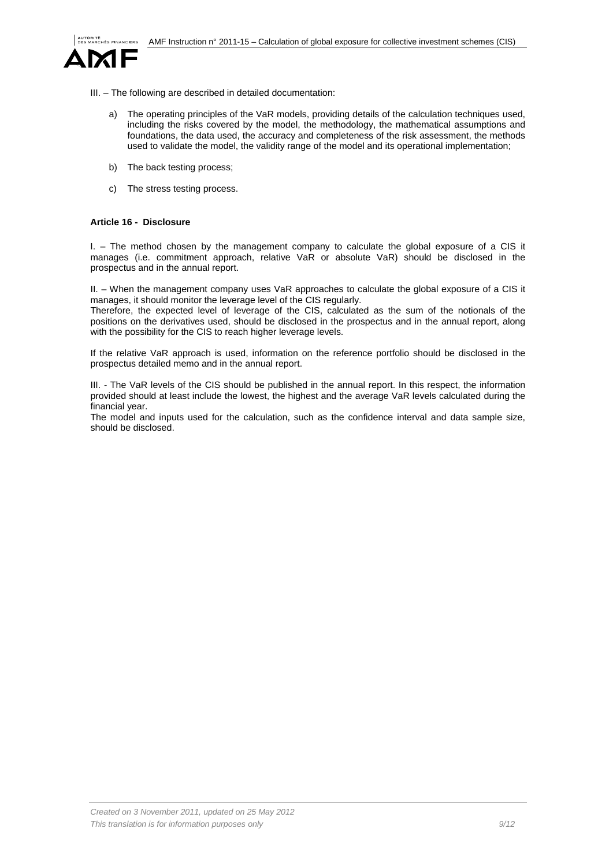

- III. The following are described in detailed documentation:
	- a) The operating principles of the VaR models, providing details of the calculation techniques used, including the risks covered by the model, the methodology, the mathematical assumptions and foundations, the data used, the accuracy and completeness of the risk assessment, the methods used to validate the model, the validity range of the model and its operational implementation;
	- b) The back testing process;
	- c) The stress testing process.

## <span id="page-8-0"></span>**Article 16 - Disclosure**

I. – The method chosen by the management company to calculate the global exposure of a CIS it manages (i.e. commitment approach, relative VaR or absolute VaR) should be disclosed in the prospectus and in the annual report.

II. – When the management company uses VaR approaches to calculate the global exposure of a CIS it manages, it should monitor the leverage level of the CIS regularly.

Therefore, the expected level of leverage of the CIS, calculated as the sum of the notionals of the positions on the derivatives used, should be disclosed in the prospectus and in the annual report, along with the possibility for the CIS to reach higher leverage levels.

If the relative VaR approach is used, information on the reference portfolio should be disclosed in the prospectus detailed memo and in the annual report.

III. - The VaR levels of the CIS should be published in the annual report. In this respect, the information provided should at least include the lowest, the highest and the average VaR levels calculated during the financial year.

The model and inputs used for the calculation, such as the confidence interval and data sample size, should be disclosed.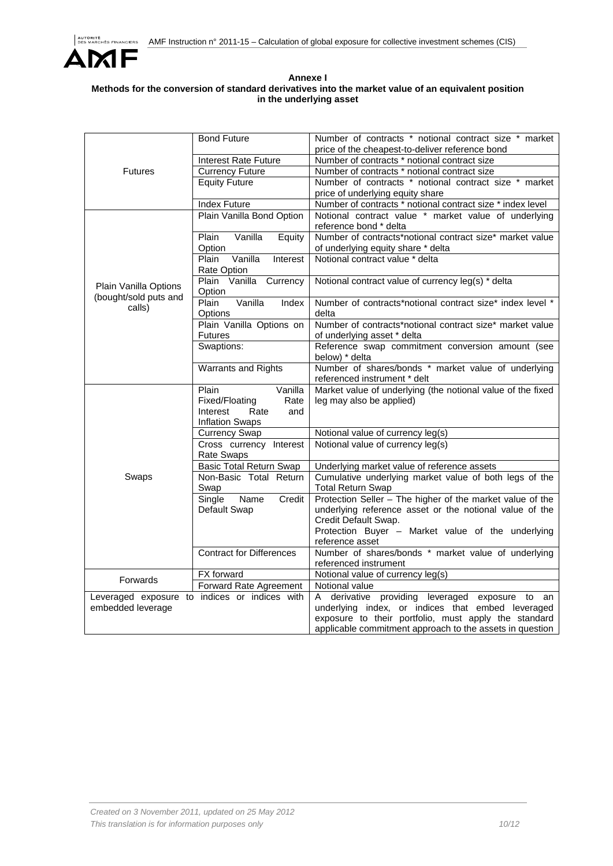

## **Annexe I Methods for the conversion of standard derivatives into the market value of an equivalent position in the underlying asset**

|                                                                    | <b>Bond Future</b>                       | Number of contracts * notional contract size * market                           |
|--------------------------------------------------------------------|------------------------------------------|---------------------------------------------------------------------------------|
|                                                                    |                                          | price of the cheapest-to-deliver reference bond                                 |
|                                                                    | <b>Interest Rate Future</b>              | Number of contracts * notional contract size                                    |
| <b>Futures</b>                                                     | <b>Currency Future</b>                   | Number of contracts * notional contract size                                    |
|                                                                    | <b>Equity Future</b>                     | Number of contracts * notional contract size * market                           |
|                                                                    |                                          | price of underlying equity share                                                |
|                                                                    | <b>Index Future</b>                      | Number of contracts * notional contract size * index level                      |
|                                                                    | Plain Vanilla Bond Option                | Notional contract value * market value of underlying                            |
|                                                                    |                                          | reference bond * delta                                                          |
|                                                                    | Vanilla<br>Plain<br>Equity               | Number of contracts*notional contract size* market value                        |
|                                                                    | Option                                   | of underlying equity share * delta                                              |
|                                                                    | Plain<br>Vanilla<br>Interest             | Notional contract value * delta                                                 |
|                                                                    | Rate Option                              |                                                                                 |
|                                                                    | Plain Vanilla Currency                   | Notional contract value of currency leg(s) * delta                              |
| Plain Vanilla Options                                              | Option                                   |                                                                                 |
| (bought/sold puts and                                              | Vanilla<br>Plain<br>Index                | Number of contracts*notional contract size* index level *                       |
| calls)                                                             | <b>Options</b>                           | delta                                                                           |
|                                                                    | Plain Vanilla Options on                 | Number of contracts*notional contract size* market value                        |
|                                                                    | <b>Futures</b>                           | of underlying asset * delta                                                     |
|                                                                    | Swaptions:                               | Reference swap commitment conversion amount (see                                |
|                                                                    |                                          | below) * delta                                                                  |
|                                                                    | Warrants and Rights                      | Number of shares/bonds * market value of underlying                             |
|                                                                    |                                          | referenced instrument * delt                                                    |
|                                                                    | Plain<br>Vanilla                         | Market value of underlying (the notional value of the fixed                     |
|                                                                    | Fixed/Floating<br>Rate                   | leg may also be applied)                                                        |
|                                                                    | Interest<br>Rate<br>and                  |                                                                                 |
|                                                                    | Inflation Swaps                          |                                                                                 |
|                                                                    | <b>Currency Swap</b>                     | Notional value of currency leg(s)                                               |
|                                                                    | Cross currency Interest                  | Notional value of currency leg(s)                                               |
|                                                                    | <b>Rate Swaps</b>                        |                                                                                 |
| Swaps                                                              | <b>Basic Total Return Swap</b>           | Underlying market value of reference assets                                     |
|                                                                    | Non-Basic Total Return                   | Cumulative underlying market value of both legs of the                          |
|                                                                    | Swap                                     | <b>Total Return Swap</b>                                                        |
|                                                                    | Name<br>Credit<br>Single<br>Default Swap | Protection Seller - The higher of the market value of the                       |
|                                                                    |                                          | underlying reference asset or the notional value of the<br>Credit Default Swap. |
|                                                                    |                                          | Protection Buyer - Market value of the underlying                               |
| <b>Forwards</b>                                                    |                                          | reference asset                                                                 |
|                                                                    | <b>Contract for Differences</b>          | Number of shares/bonds * market value of underlying                             |
|                                                                    |                                          | referenced instrument                                                           |
|                                                                    | FX forward                               | Notional value of currency leg(s)                                               |
|                                                                    | Forward Rate Agreement                   | Notional value                                                                  |
|                                                                    |                                          | A derivative providing leveraged exposure to an                                 |
| Leveraged exposure to indices or indices with<br>embedded leverage |                                          | underlying index, or indices that embed leveraged                               |
|                                                                    |                                          | exposure to their portfolio, must apply the standard                            |
|                                                                    |                                          | applicable commitment approach to the assets in question                        |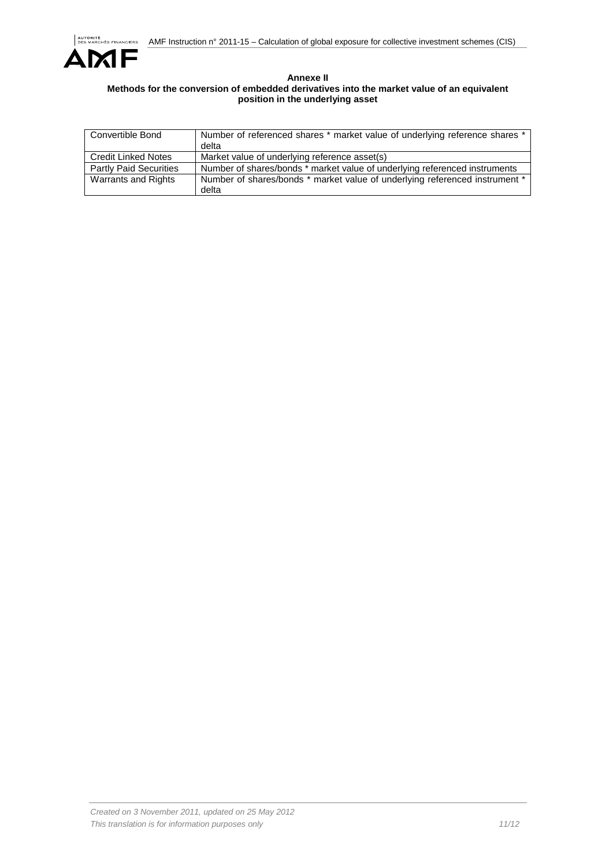

## **Annexe II Methods for the conversion of embedded derivatives into the market value of an equivalent position in the underlying asset**

| Convertible Bond              | Number of referenced shares * market value of underlying reference shares *<br>delta |
|-------------------------------|--------------------------------------------------------------------------------------|
| Credit Linked Notes           | Market value of underlying reference asset(s)                                        |
| <b>Partly Paid Securities</b> | Number of shares/bonds * market value of underlying referenced instruments           |
| Warrants and Rights           | Number of shares/bonds * market value of underlying referenced instrument *<br>delta |